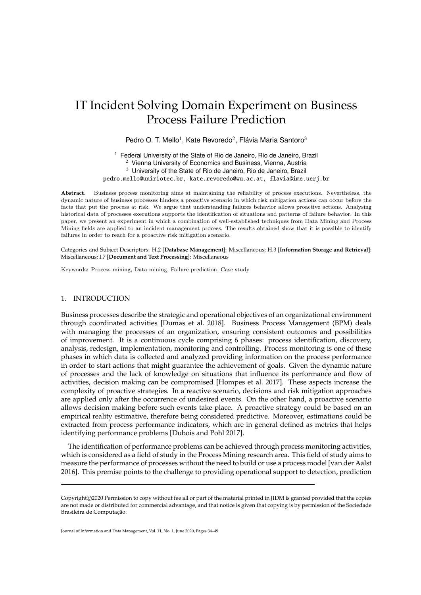# IT Incident Solving Domain Experiment on Business Process Failure Prediction

Pedro O. T. Mello<sup>1</sup>, Kate Revoredo<sup>2</sup>, Flávia Maria Santoro<sup>3</sup>

 $1$  Federal University of the State of Rio de Janeiro, Rio de Janeiro, Brazil <sup>2</sup> Vienna University of Economics and Business, Vienna, Austria <sup>3</sup> University of the State of Rio de Janeiro, Rio de Janeiro, Brazil pedro.mello@uniriotec.br, kate.revoredo@wu.ac.at, flavia@ime.uerj.br

Abstract. Business process monitoring aims at maintaining the reliability of process executions. Nevertheless, the dynamic nature of business processes hinders a proactive scenario in which risk mitigation actions can occur before the facts that put the process at risk. We argue that understanding failures behavior allows proactive actions. Analysing historical data of processes executions supports the identification of situations and patterns of failure behavior. In this paper, we present an experiment in which a combination of well-established techniques from Data Mining and Process Mining fields are applied to an incident management process. The results obtained show that it is possible to identify failures in order to reach for a proactive risk mitigation scenario.

Categories and Subject Descriptors: H.2 [**Database Management**]: Miscellaneous; H.3 [**Information Storage and Retrieval**]: Miscellaneous; I.7 [**Document and Text Processing**]: Miscellaneous

Keywords: Process mining, Data mining, Failure prediction, Case study

## 1. INTRODUCTION

Business processes describe the strategic and operational objectives of an organizational environment through coordinated activities [Dumas et al. 2018]. Business Process Management (BPM) deals with managing the processes of an organization, ensuring consistent outcomes and possibilities of improvement. It is a continuous cycle comprising 6 phases: process identification, discovery, analysis, redesign, implementation, monitoring and controlling. Process monitoring is one of these phases in which data is collected and analyzed providing information on the process performance in order to start actions that might guarantee the achievement of goals. Given the dynamic nature of processes and the lack of knowledge on situations that influence its performance and flow of activities, decision making can be compromised [Hompes et al. 2017]. These aspects increase the complexity of proactive strategies. In a reactive scenario, decisions and risk mitigation approaches are applied only after the occurrence of undesired events. On the other hand, a proactive scenario allows decision making before such events take place. A proactive strategy could be based on an empirical reality estimative, therefore being considered predictive. Moreover, estimations could be extracted from process performance indicators, which are in general defined as metrics that helps identifying performance problems [Dubois and Pohl 2017].

The identification of performance problems can be achieved through process monitoring activities, which is considered as a field of study in the Process Mining research area. This field of study aims to measure the performance of processes without the need to build or use a process model [van der Aalst 2016]. This premise points to the challenge to providing operational support to detection, prediction

Copyright©2020 Permission to copy without fee all or part of the material printed in JIDM is granted provided that the copies are not made or distributed for commercial advantage, and that notice is given that copying is by permission of the Sociedade Brasileira de Computação.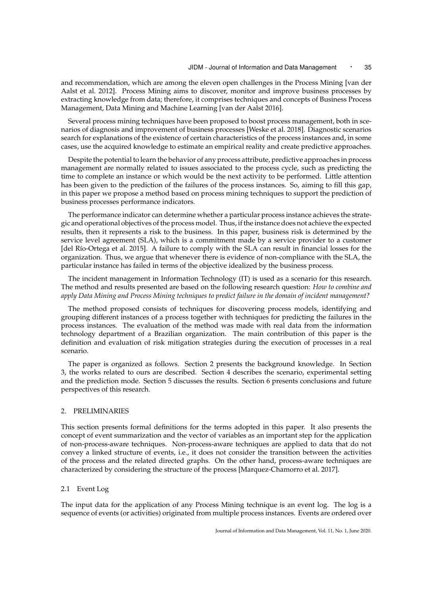and recommendation, which are among the eleven open challenges in the Process Mining [van der Aalst et al. 2012]. Process Mining aims to discover, monitor and improve business processes by extracting knowledge from data; therefore, it comprises techniques and concepts of Business Process Management, Data Mining and Machine Learning [van der Aalst 2016].

Several process mining techniques have been proposed to boost process management, both in scenarios of diagnosis and improvement of business processes [Weske et al. 2018]. Diagnostic scenarios search for explanations of the existence of certain characteristics of the process instances and, in some cases, use the acquired knowledge to estimate an empirical reality and create predictive approaches.

Despite the potential to learn the behavior of any process attribute, predictive approaches in process management are normally related to issues associated to the process cycle, such as predicting the time to complete an instance or which would be the next activity to be performed. Little attention has been given to the prediction of the failures of the process instances. So, aiming to fill this gap, in this paper we propose a method based on process mining techniques to support the prediction of business processes performance indicators.

The performance indicator can determine whether a particular process instance achieves the strategic and operational objectives of the process model. Thus, if the instance does not achieve the expected results, then it represents a risk to the business. In this paper, business risk is determined by the service level agreement (SLA), which is a commitment made by a service provider to a customer [del Río-Ortega et al. 2015]. A failure to comply with the SLA can result in financial losses for the organization. Thus, we argue that whenever there is evidence of non-compliance with the SLA, the particular instance has failed in terms of the objective idealized by the business process.

The incident management in Information Technology (IT) is used as a scenario for this research. The method and results presented are based on the following research question: *How to combine and apply Data Mining and Process Mining techniques to predict failure in the domain of incident management?*

The method proposed consists of techniques for discovering process models, identifying and grouping different instances of a process together with techniques for predicting the failures in the process instances. The evaluation of the method was made with real data from the information technology department of a Brazilian organization. The main contribution of this paper is the definition and evaluation of risk mitigation strategies during the execution of processes in a real scenario.

The paper is organized as follows. Section 2 presents the background knowledge. In Section 3, the works related to ours are described. Section 4 describes the scenario, experimental setting and the prediction mode. Section 5 discusses the results. Section 6 presents conclusions and future perspectives of this research.

## 2. PRELIMINARIES

This section presents formal definitions for the terms adopted in this paper. It also presents the concept of event summarization and the vector of variables as an important step for the application of non-process-aware techniques. Non-process-aware techniques are applied to data that do not convey a linked structure of events, i.e., it does not consider the transition between the activities of the process and the related directed graphs. On the other hand, process-aware techniques are characterized by considering the structure of the process [Marquez-Chamorro et al. 2017].

#### 2.1 Event Log

The input data for the application of any Process Mining technique is an event log. The log is a sequence of events (or activities) originated from multiple process instances. Events are ordered over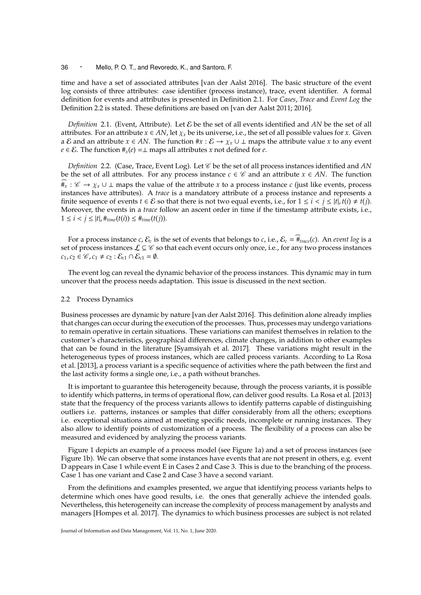time and have a set of associated attributes [van der Aalst 2016]. The basic structure of the event log consists of three attributes: case identifier (process instance), trace, event identifier. A formal definition for events and attributes is presented in Definition 2.1. For *Cases*, *Trace* and *Event Log* the Definition 2.2 is stated. These definitions are based on [van der Aalst 2011; 2016].

*Definition* 2.1. (Event, Attribute). Let *E* be the set of all events identified and *AN* be the set of all attributes. For an attribute  $x \in AN$ , let  $\chi_x$  be its universe, i.e., the set of all possible values for *x*. Given a E and an attribute  $x \in AN$ . The function  $\#x : \mathcal{E} \to \chi_x \cup \bot$  maps the attribute value x to any event *e* ∈ *E*. The function  $#_x(e) = ⊥$  maps all attributes *x* not defined for *e*.

*Definition* 2.2. (Case, Trace, Event Log). Let  $\mathscr C$  be the set of all process instances identified and AN be the set of all attributes. For any process instance  $c \in \mathcal{C}$  and an attribute  $x \in AN$ . The function  $\ddot{H}_x$  :  $\mathcal{C}$  →  $\chi_x$  ∪ ⊥ maps the value of the attribute *x* to a process instance *c* (just like events, process instances have attributes). A *trace* is a mandatory attribute of a process instance and represents a finite sequence of events  $t \in \mathcal{E}$  so that there is not two equal events, i.e., for  $1 \le i \le j \le |t|$ ,  $t(i) \ne t(j)$ . Moreover, the events in a *trace* follow an ascent order in time if the timestamp attribute exists, i.e., 1 ≤ *i* < *j* ≤ |*t*|, #*time*(*t*(*i*)) ≤ #*time*(*t*(*j*)).

For a process instance *c*,  $\mathcal{E}_c$  is the set of events that belongs to *c*, i.e.,  $\mathcal{E}_c = \hat{\#}_{trace}(c)$ . An *event log* is a set of process instances  $\mathcal{L} \subseteq \mathcal{C}$  so that each event occurs only once, i.e., for any two process instances  $c_1, c_2 \in \mathcal{C}$ ,  $c_1 \neq c_2 : \mathcal{E}_{c1} \cap \mathcal{E}_{c1} = \emptyset$ .

The event log can reveal the dynamic behavior of the process instances. This dynamic may in turn uncover that the process needs adaptation. This issue is discussed in the next section.

#### 2.2 Process Dynamics

Business processes are dynamic by nature [van der Aalst 2016]. This definition alone already implies that changes can occur during the execution of the processes. Thus, processes may undergo variations to remain operative in certain situations. These variations can manifest themselves in relation to the customer's characteristics, geographical differences, climate changes, in addition to other examples that can be found in the literature [Syamsiyah et al. 2017]. These variations might result in the heterogeneous types of process instances, which are called process variants. According to La Rosa et al. [2013], a process variant is a specific sequence of activities where the path between the first and the last activity forms a single one, i.e., a path without branches.

It is important to guarantee this heterogeneity because, through the process variants, it is possible to identify which patterns, in terms of operational flow, can deliver good results. La Rosa et al. [2013] state that the frequency of the process variants allows to identify patterns capable of distinguishing outliers i.e. patterns, instances or samples that differ considerably from all the others; exceptions i.e. exceptional situations aimed at meeting specific needs, incomplete or running instances. They also allow to identify points of customization of a process. The flexibility of a process can also be measured and evidenced by analyzing the process variants.

Figure 1 depicts an example of a process model (see Figure 1a) and a set of process instances (see Figure 1b). We can observe that some instances have events that are not present in others, e.g. event D appears in Case 1 while event E in Cases 2 and Case 3. This is due to the branching of the process. Case 1 has one variant and Case 2 and Case 3 have a second variant.

From the definitions and examples presented, we argue that identifying process variants helps to determine which ones have good results, i.e. the ones that generally achieve the intended goals. Nevertheless, this heterogeneity can increase the complexity of process management by analysts and managers [Hompes et al. 2017]. The dynamics to which business processes are subject is not related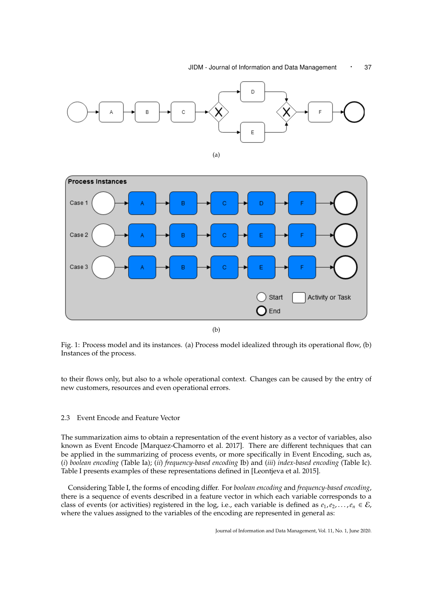#### JIDM - Journal of Information and Data Management • 37





Fig. 1: Process model and its instances. (a) Process model idealized through its operational flow, (b) Instances of the process.

to their flows only, but also to a whole operational context. Changes can be caused by the entry of new customers, resources and even operational errors.

#### 2.3 Event Encode and Feature Vector

The summarization aims to obtain a representation of the event history as a vector of variables, also known as Event Encode [Marquez-Chamorro et al. 2017]. There are different techniques that can be applied in the summarizing of process events, or more specifically in Event Encoding, such as, (*i*) *boolean encoding* (Table Ia); (*ii*) *frequency-based encoding* Ib) and (*iii*) *index-based encoding* (Table Ic). Table I presents examples of these representations defined in [Leontjeva et al. 2015].

Considering Table I, the forms of encoding differ. For *boolean encoding* and *frequency-based encoding*, there is a sequence of events described in a feature vector in which each variable corresponds to a class of events (or activities) registered in the log, i.e., each variable is defined as  $e_1, e_2, \ldots, e_n \in \mathcal{E}$ , where the values assigned to the variables of the encoding are represented in general as: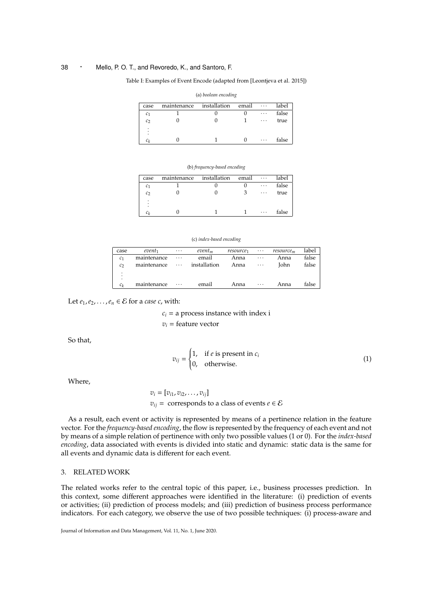## Table I: Examples of Event Encode (adapted from [Leontjeva et al. 2015]) (a) *boolean encoding*

|                |             | $\frac{1}{2}$ |       |          |       |
|----------------|-------------|---------------|-------|----------|-------|
| case           | maintenance | installation  | email | $\cdots$ | label |
| c <sub>1</sub> |             |               |       | .        | false |
| c <sub>2</sub> |             |               |       | .        | true  |
| ٠              |             |               |       |          |       |
| $c_k$          |             |               |       | $\cdots$ | false |
|                |             |               |       |          |       |

#### (b) *frequency-based encoding*

| case           | maintenance | installation | email | $\cdots$ | label |
|----------------|-------------|--------------|-------|----------|-------|
| c <sub>1</sub> |             |              |       | $\cdots$ | false |
| c <sub>2</sub> |             |              |       | $\cdots$ | true  |
| $\bullet$<br>٠ |             |              |       |          |       |
| ٠              |             |              |       |          |       |
| Сı             |             |              |       | $\cdots$ | false |

#### (c) *index-based encoding*

| case           | event <sub>1</sub> | $\cdots$ | $event_m$    | resource <sub>1</sub> | $\cdots$ | resource <sub>m</sub> | label |
|----------------|--------------------|----------|--------------|-----------------------|----------|-----------------------|-------|
| C <sub>1</sub> | maintenance        | $\cdots$ | email        | Anna                  | $\cdots$ | Anna                  | false |
| $\mathcal{C}$  | maintenance        | $\ldots$ | installation | Anna                  | $\cdots$ | John                  | false |
| ٠              |                    |          |              |                       |          |                       |       |
| ٠<br>٠         |                    |          |              |                       |          |                       |       |
| $c_k$          | maintenance        | $\cdots$ | email        | Anna                  | $\cdots$ | Anna                  | false |

Let  $e_1, e_2, \ldots, e_n \in \mathcal{E}$  for a *case c*, with:

$$
c_i
$$
 = a process instance with index i  
 $v_i$  = feature vector

So that,

$$
v_{ij} = \begin{cases} 1, & \text{if } e \text{ is present in } c_i \\ 0, & \text{otherwise.} \end{cases}
$$
 (1)

Where,

$$
v_i = [v_{i1}, v_{i2}, \dots, v_{ij}]
$$
  
\n $v_{ij} =$  corresponds to a class of events  $e \in \mathcal{E}$ 

As a result, each event or activity is represented by means of a pertinence relation in the feature vector. For the *frequency-based encoding*, the flow is represented by the frequency of each event and not by means of a simple relation of pertinence with only two possible values (1 or 0). For the *index-based encoding*, data associated with events is divided into static and dynamic: static data is the same for all events and dynamic data is different for each event.

## 3. RELATED WORK

The related works refer to the central topic of this paper, i.e., business processes prediction. In this context, some different approaches were identified in the literature: (i) prediction of events or activities; (ii) prediction of process models; and (iii) prediction of business process performance indicators. For each category, we observe the use of two possible techniques: (i) process-aware and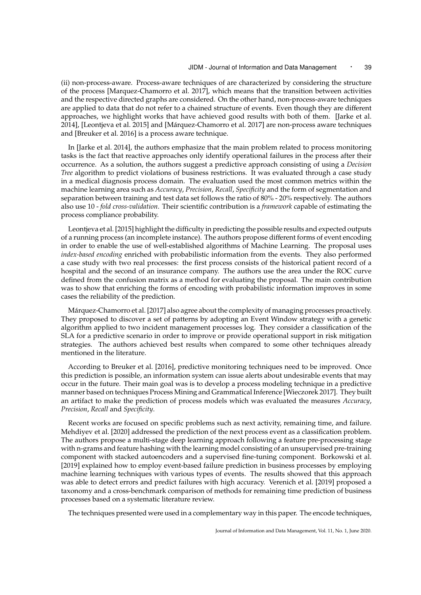(ii) non-process-aware. Process-aware techniques of are characterized by considering the structure of the process [Marquez-Chamorro et al. 2017], which means that the transition between activities and the respective directed graphs are considered. On the other hand, non-process-aware techniques are applied to data that do not refer to a chained structure of events. Even though they are different approaches, we highlight works that have achieved good results with both of them. [Jarke et al. 2014], [Leontjeva et al. 2015] and [Márquez-Chamorro et al. 2017] are non-process aware techniques and [Breuker et al. 2016] is a process aware technique.

In [Jarke et al. 2014], the authors emphasize that the main problem related to process monitoring tasks is the fact that reactive approaches only identify operational failures in the process after their occurrence. As a solution, the authors suggest a predictive approach consisting of using a *Decision Tree* algorithm to predict violations of business restrictions. It was evaluated through a case study in a medical diagnosis process domain. The evaluation used the most common metrics within the machine learning area such as *Accuracy*, *Precision*, *Recall*, *Specificity* and the form of segmentation and separation between training and test data set follows the ratio of 80% - 20% respectively. The authors also use 10 - *fold cross-validation*. Their scientific contribution is a *framework* capable of estimating the process compliance probability.

Leontjeva et al. [2015] highlight the difficulty in predicting the possible results and expected outputs of a running process (an incomplete instance). The authors propose different forms of event encoding in order to enable the use of well-established algorithms of Machine Learning. The proposal uses *index-based encoding* enriched with probabilistic information from the events. They also performed a case study with two real processes: the first process consists of the historical patient record of a hospital and the second of an insurance company. The authors use the area under the ROC curve defined from the confusion matrix as a method for evaluating the proposal. The main contribution was to show that enriching the forms of encoding with probabilistic information improves in some cases the reliability of the prediction.

Márquez-Chamorro et al. [2017] also agree about the complexity of managing processes proactively. They proposed to discover a set of patterns by adopting an Event Window strategy with a genetic algorithm applied to two incident management processes log. They consider a classification of the SLA for a predictive scenario in order to improve or provide operational support in risk mitigation strategies. The authors achieved best results when compared to some other techniques already mentioned in the literature.

According to Breuker et al. [2016], predictive monitoring techniques need to be improved. Once this prediction is possible, an information system can issue alerts about undesirable events that may occur in the future. Their main goal was is to develop a process modeling technique in a predictive manner based on techniques Process Mining and Grammatical Inference [Wieczorek 2017]. They built an artifact to make the prediction of process models which was evaluated the measures *Accuracy*, *Precision*, *Recall* and *Specificity*.

Recent works are focused on specific problems such as next activity, remaining time, and failure. Mehdiyev et al. [2020] addressed the prediction of the next process event as a classification problem. The authors propose a multi-stage deep learning approach following a feature pre-processing stage with n-grams and feature hashing with the learning model consisting of an unsupervised pre-training component with stacked autoencoders and a supervised fine-tuning component. Borkowski et al. [2019] explained how to employ event-based failure prediction in business processes by employing machine learning techniques with various types of events. The results showed that this approach was able to detect errors and predict failures with high accuracy. Verenich et al. [2019] proposed a taxonomy and a cross-benchmark comparison of methods for remaining time prediction of business processes based on a systematic literature review.

The techniques presented were used in a complementary way in this paper. The encode techniques,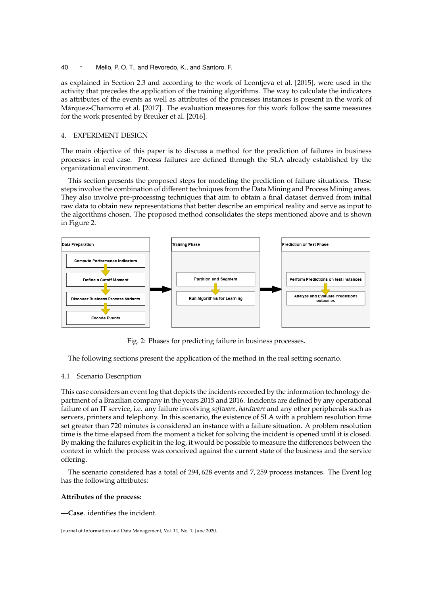as explained in Section 2.3 and according to the work of Leontjeva et al. [2015], were used in the activity that precedes the application of the training algorithms. The way to calculate the indicators as attributes of the events as well as attributes of the processes instances is present in the work of Márquez-Chamorro et al. [2017]. The evaluation measures for this work follow the same measures for the work presented by Breuker et al. [2016].

## 4. EXPERIMENT DESIGN

The main objective of this paper is to discuss a method for the prediction of failures in business processes in real case. Process failures are defined through the SLA already established by the organizational environment.

This section presents the proposed steps for modeling the prediction of failure situations. These steps involve the combination of different techniques from the Data Mining and Process Mining areas. They also involve pre-processing techniques that aim to obtain a final dataset derived from initial raw data to obtain new representations that better describe an empirical reality and serve as input to the algorithms chosen. The proposed method consolidates the steps mentioned above and is shown in Figure 2.



Fig. 2: Phases for predicting failure in business processes.

The following sections present the application of the method in the real setting scenario.

#### 4.1 Scenario Description

This case considers an event log that depicts the incidents recorded by the information technology department of a Brazilian company in the years 2015 and 2016. Incidents are defined by any operational failure of an IT service, i.e. any failure involving *software*, *hardware* and any other peripherals such as servers, printers and telephony. In this scenario, the existence of SLA with a problem resolution time set greater than 720 minutes is considered an instance with a failure situation. A problem resolution time is the time elapsed from the moment a ticket for solving the incident is opened until it is closed. By making the failures explicit in the log, it would be possible to measure the differences between the context in which the process was conceived against the current state of the business and the service offering.

The scenario considered has a total of 294, 628 events and 7, 259 process instances. The Event log has the following attributes:

#### **Attributes of the process:**

—**Case**. identifies the incident.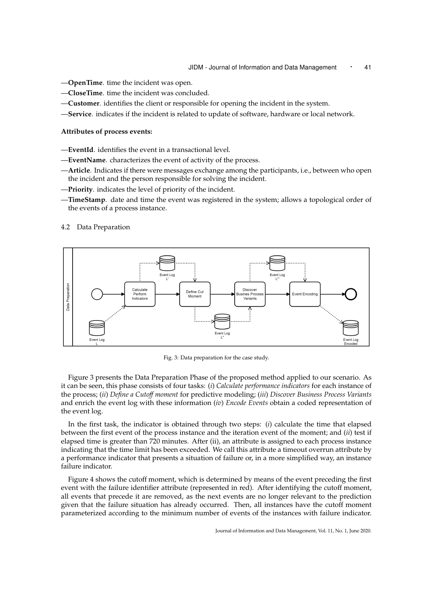- —**OpenTime**. time the incident was open.
- —**CloseTime**. time the incident was concluded.
- —**Customer**. identifies the client or responsible for opening the incident in the system.
- —**Service**. indicates if the incident is related to update of software, hardware or local network.

#### **Attributes of process events:**

- —**EventId**. identifies the event in a transactional level.
- —**EventName**. characterizes the event of activity of the process.
- —**Article**. Indicates if there were messages exchange among the participants, i.e., between who open the incident and the person responsible for solving the incident.
- —**Priority**. indicates the level of priority of the incident.
- —**TimeStamp**. date and time the event was registered in the system; allows a topological order of the events of a process instance.

#### 4.2 Data Preparation



Fig. 3: Data preparation for the case study.

Figure 3 presents the Data Preparation Phase of the proposed method applied to our scenario. As it can be seen, this phase consists of four tasks: (*i*) *Calculate performance indicators* for each instance of the process; (*ii*) *Define a Cuto*ff *moment* for predictive modeling; (*iii*) *Discover Business Process Variants* and enrich the event log with these information (*iv*) *Encode Events* obtain a coded representation of the event log.

In the first task, the indicator is obtained through two steps: (*i*) calculate the time that elapsed between the first event of the process instance and the iteration event of the moment; and (*ii*) test if elapsed time is greater than 720 minutes. After (ii), an attribute is assigned to each process instance indicating that the time limit has been exceeded. We call this attribute a timeout overrun attribute by a performance indicator that presents a situation of failure or, in a more simplified way, an instance failure indicator.

Figure 4 shows the cutoff moment, which is determined by means of the event preceding the first event with the failure identifier attribute (represented in red). After identifying the cutoff moment, all events that precede it are removed, as the next events are no longer relevant to the prediction given that the failure situation has already occurred. Then, all instances have the cutoff moment parameterized according to the minimum number of events of the instances with failure indicator.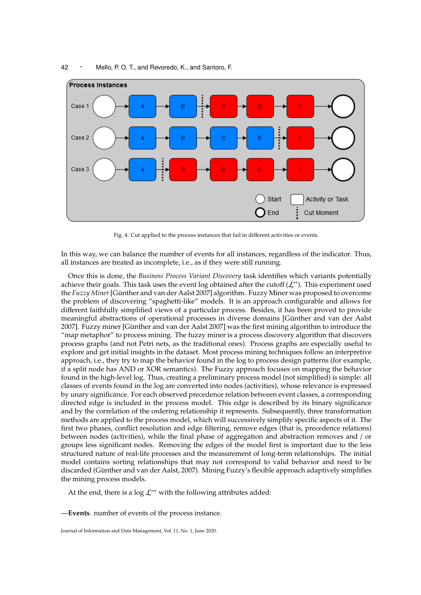

Fig. 4: Cut applied to the process instances that fail in different activities or events.

In this way, we can balance the number of events for all instances, regardless of the indicator. Thus, all instances are treated as incomplete, i.e., as if they were still running.

Once this is done, the *Business Process Variant Discovery* task identifies which variants potentially achieve their goals. This task uses the event log obtained after the cutoff  $(\mathcal{L}^{\prime\prime})$ . This experiment used the *Fuzzy Miner*[Günther and van der Aalst 2007] algorithm. Fuzzy Miner was proposed to overcome the problem of discovering "spaghetti-like" models. It is an approach configurable and allows for different faithfully simplified views of a particular process. Besides, it has been proved to provide meaningful abstractions of operational processes in diverse domains [Günther and van der Aalst 2007]. Fuzzy miner [Günther and van der Aalst 2007] was the first mining algorithm to introduce the "map metaphor" to process mining. The fuzzy miner is a process discovery algorithm that discovers process graphs (and not Petri nets, as the traditional ones). Process graphs are especially useful to explore and get initial insights in the dataset. Most process mining techniques follow an interpretive approach, i.e., they try to map the behavior found in the log to process design patterns (for example, if a split node has AND or XOR semantics). The Fuzzy approach focuses on mapping the behavior found in the high-level log. Thus, creating a preliminary process model (not simplified) is simple: all classes of events found in the log are converted into nodes (activities), whose relevance is expressed by unary significance. For each observed precedence relation between event classes, a corresponding directed edge is included in the process model. This edge is described by its binary significance and by the correlation of the ordering relationship it represents. Subsequently, three transformation methods are applied to the process model, which will successively simplify specific aspects of it. The first two phases, conflict resolution and edge filtering, remove edges (that is, precedence relations) between nodes (activities), while the final phase of aggregation and abstraction removes and / or groups less significant nodes. Removing the edges of the model first is important due to the less structured nature of real-life processes and the measurement of long-term relationships. The initial model contains sorting relationships that may not correspond to valid behavior and need to be discarded (Günther and van der Aalst, 2007). Mining Fuzzy's flexible approach adaptively simplifies the mining process models.

At the end, there is a  $\log \mathcal{L}'''$  with the following attributes added:

—**Events**. number of events of the process instance.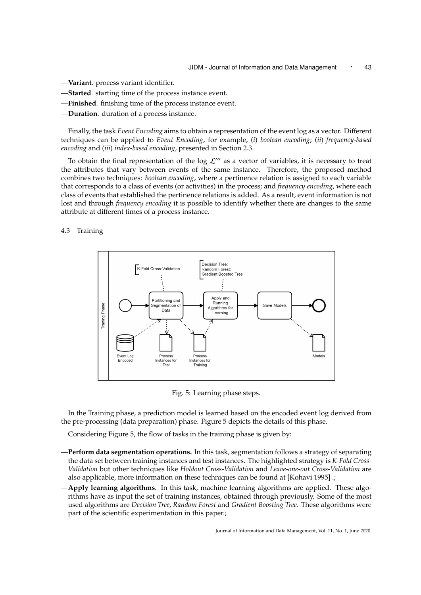- —**Variant**. process variant identifier.
- —**Started**. starting time of the process instance event.
- —**Finished**. finishing time of the process instance event.
- —**Duration**. duration of a process instance.

Finally, the task *Event Encoding* aims to obtain a representation of the event log as a vector. Different techniques can be applied to *Event Encoding*, for example, (*i*) *boolean encoding*; (*ii*) *frequency-based encoding* and (*iii*) *index-based encoding*, presented in Section 2.3.

To obtain the final representation of the log  $\mathcal{L}'''$  as a vector of variables, it is necessary to treat the attributes that vary between events of the same instance. Therefore, the proposed method combines two techniques: *boolean encoding*, where a pertinence relation is assigned to each variable that corresponds to a class of events (or activities) in the process; and *frequency encoding*, where each class of events that established the pertinence relations is added. As a result, event information is not lost and through *frequency encoding* it is possible to identify whether there are changes to the same attribute at different times of a process instance.

4.3 Training



Fig. 5: Learning phase steps.

In the Training phase, a prediction model is learned based on the encoded event log derived from the pre-processing (data preparation) phase. Figure 5 depicts the details of this phase.

Considering Figure 5, the flow of tasks in the training phase is given by:

- —**Perform data segmentation operations.** In this task, segmentation follows a strategy of separating the data set between training instances and test instances. The highlighted strategy is *K-Fold Cross-Validation* but other techniques like *Holdout Cross-Validation* and *Leave-one-out Cross-Validation* are also applicable, more information on these techniques can be found at [Kohavi 1995] .;
- —**Apply learning algorithms.** In this task, machine learning algorithms are applied. These algorithms have as input the set of training instances, obtained through previously. Some of the most used algorithms are *Decision Tree*, *Random Forest* and *Gradient Boosting Tree*. These algorithms were part of the scientific experimentation in this paper.;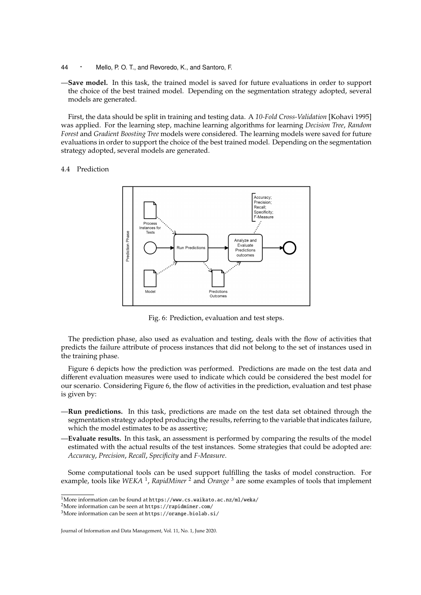- <sup>44</sup> · Mello, P. O. T., and Revoredo, K., and Santoro, F.
- —**Save model.** In this task, the trained model is saved for future evaluations in order to support the choice of the best trained model. Depending on the segmentation strategy adopted, several models are generated.

First, the data should be split in training and testing data. A *10-Fold Cross-Validation* [Kohavi 1995] was applied. For the learning step, machine learning algorithms for learning *Decision Tree*, *Random Forest* and *Gradient Boosting Tree* models were considered. The learning models were saved for future evaluations in order to support the choice of the best trained model. Depending on the segmentation strategy adopted, several models are generated.

#### 4.4 Prediction



Fig. 6: Prediction, evaluation and test steps.

The prediction phase, also used as evaluation and testing, deals with the flow of activities that predicts the failure attribute of process instances that did not belong to the set of instances used in the training phase.

Figure 6 depicts how the prediction was performed. Predictions are made on the test data and different evaluation measures were used to indicate which could be considered the best model for our scenario. Considering Figure 6, the flow of activities in the prediction, evaluation and test phase is given by:

- —**Run predictions.** In this task, predictions are made on the test data set obtained through the segmentation strategy adopted producing the results, referring to the variable that indicates failure, which the model estimates to be as assertive;
- —**Evaluate results.** In this task, an assessment is performed by comparing the results of the model estimated with the actual results of the test instances. Some strategies that could be adopted are: *Accuracy*, *Precision*, *Recall*, *Specificity* and *F-Measure*.

Some computational tools can be used support fulfilling the tasks of model construction. For example, tools like *WEKA* <sup>1</sup> , *RapidMiner* <sup>2</sup> and *Orange* <sup>3</sup> are some examples of tools that implement

<sup>1</sup>More information can be found at https://www.cs.waikato.ac.nz/ml/weka/

<sup>2</sup>More information can be seen at https://rapidminer.com/

<sup>3</sup>More information can be seen at https://orange.biolab.si/

Journal of Information and Data Management, Vol. 11, No. 1, June 2020.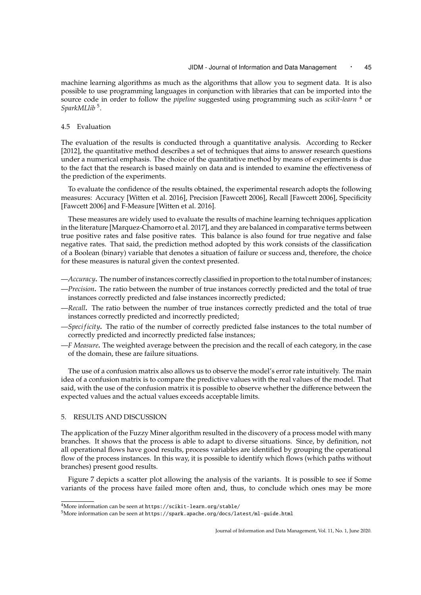machine learning algorithms as much as the algorithms that allow you to segment data. It is also possible to use programming languages in conjunction with libraries that can be imported into the source code in order to follow the *pipeline* suggested using programming such as *scikit-learn* <sup>4</sup> or *SparkMLlib* <sup>5</sup> .

## 4.5 Evaluation

The evaluation of the results is conducted through a quantitative analysis. According to Recker [2012], the quantitative method describes a set of techniques that aims to answer research questions under a numerical emphasis. The choice of the quantitative method by means of experiments is due to the fact that the research is based mainly on data and is intended to examine the effectiveness of the prediction of the experiments.

To evaluate the confidence of the results obtained, the experimental research adopts the following measures: Accuracy [Witten et al. 2016], Precision [Fawcett 2006], Recall [Fawcett 2006], Specificity [Fawcett 2006] and F-Measure [Witten et al. 2016].

These measures are widely used to evaluate the results of machine learning techniques application in the literature [Marquez-Chamorro et al. 2017], and they are balanced in comparative terms between true positive rates and false positive rates. This balance is also found for true negative and false negative rates. That said, the prediction method adopted by this work consists of the classification of a Boolean (binary) variable that denotes a situation of failure or success and, therefore, the choice for these measures is natural given the context presented.

- —*Accuracy***.** The number of instances correctly classified in proportion to the total number of instances;
- —*Precision***.** The ratio between the number of true instances correctly predicted and the total of true instances correctly predicted and false instances incorrectly predicted;
- —*Recall***.** The ratio between the number of true instances correctly predicted and the total of true instances correctly predicted and incorrectly predicted;
- —*Speci ficity***.** The ratio of the number of correctly predicted false instances to the total number of correctly predicted and incorrectly predicted false instances;
- —*F Measure***.** The weighted average between the precision and the recall of each category, in the case of the domain, these are failure situations.

The use of a confusion matrix also allows us to observe the model's error rate intuitively. The main idea of a confusion matrix is to compare the predictive values with the real values of the model. That said, with the use of the confusion matrix it is possible to observe whether the difference between the expected values and the actual values exceeds acceptable limits.

## 5. RESULTS AND DISCUSSION

The application of the Fuzzy Miner algorithm resulted in the discovery of a process model with many branches. It shows that the process is able to adapt to diverse situations. Since, by definition, not all operational flows have good results, process variables are identified by grouping the operational flow of the process instances. In this way, it is possible to identify which flows (which paths without branches) present good results.

Figure 7 depicts a scatter plot allowing the analysis of the variants. It is possible to see if Some variants of the process have failed more often and, thus, to conclude which ones may be more

<sup>4</sup>More information can be seen at https://scikit-learn.org/stable/

<sup>5</sup>More information can be seen at https://spark.apache.org/docs/latest/ml-guide.html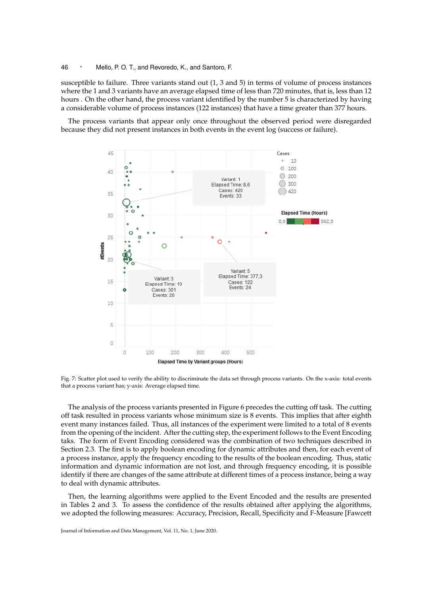susceptible to failure. Three variants stand out (1, 3 and 5) in terms of volume of process instances where the 1 and 3 variants have an average elapsed time of less than 720 minutes, that is, less than 12 hours . On the other hand, the process variant identified by the number 5 is characterized by having a considerable volume of process instances (122 instances) that have a time greater than 377 hours.

The process variants that appear only once throughout the observed period were disregarded because they did not present instances in both events in the event log (success or failure).



Fig. 7: Scatter plot used to verify the ability to discriminate the data set through process variants. On the x-axis: total events that a process variant has; y-axis: Average elapsed time.

The analysis of the process variants presented in Figure 6 precedes the cutting off task. The cutting off task resulted in process variants whose minimum size is 8 events. This implies that after eighth event many instances failed. Thus, all instances of the experiment were limited to a total of 8 events from the opening of the incident. After the cutting step, the experiment follows to the Event Encoding taks. The form of Event Encoding considered was the combination of two techniques described in Section 2.3. The first is to apply boolean encoding for dynamic attributes and then, for each event of a process instance, apply the frequency encoding to the results of the boolean encoding. Thus, static information and dynamic information are not lost, and through frequency encoding, it is possible identify if there are changes of the same attribute at different times of a process instance, being a way to deal with dynamic attributes.

Then, the learning algorithms were applied to the Event Encoded and the results are presented in Tables 2 and 3. To assess the confidence of the results obtained after applying the algorithms, we adopted the following measures: Accuracy, Precision, Recall, Specificity and F-Measure [Fawcett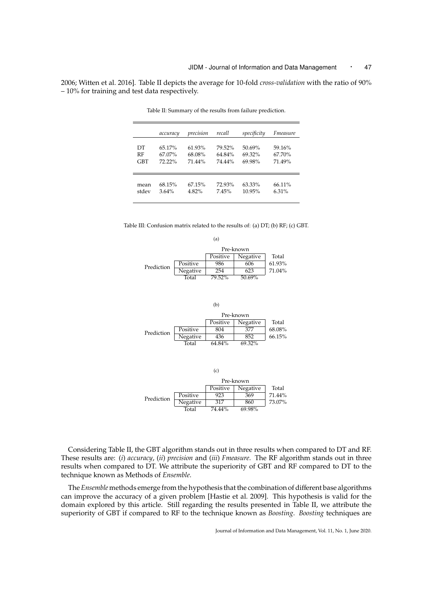2006; Witten et al. 2016]. Table II depicts the average for 10-fold *cross-validation* with the ratio of 90% – 10% for training and test data respectively.

|            | accuracy | precision | recall | specificity | Fmeasure |
|------------|----------|-----------|--------|-------------|----------|
| DТ         | 65.17%   | $61.93\%$ | 79.52% | 50.69%      | 59.16%   |
| RF         | 67.07%   | 68.08%    | 64.84% | 69.32%      | 67.70%   |
| <b>GBT</b> | 72.22%   | 71.44%    | 74.44% | 69.98%      | 71.49%   |
| mean       | 68.15%   | 67.15%    | 72.93% | 63.33%      | 66.11%   |
| stdev      | $3.64\%$ | 4.82%     | 7.45%  | 10.95%      | $6.31\%$ |

Table II: Summary of the results from failure prediction.

Table III: Confusion matrix related to the results of: (a) DT; (b) RF; (c) GBT.



(b) Pre-known Positive Negative Total<br>804 377 68.08% Prediction <u>Positive 804</u> 377 68.08%<br>
Negative 436 852 66.15% Negative 436 852<br>Total 64.84% 69.32%  $64.84%$ 

|            |          | (c)      |           |        |
|------------|----------|----------|-----------|--------|
|            |          |          | Pre-known |        |
|            |          | Positive | Negative  | Total  |
| Prediction | Positive | 923      | 369       | 71.44% |
|            | Negative | 317      | 860       | 73.07% |
|            | Total    | 74.44%   | 69.98%    |        |

Considering Table II, the GBT algorithm stands out in three results when compared to DT and RF. These results are: (*i*) *accuracy*, (*ii*) *precision* and (*iii*) *Fmeasure*. The RF algorithm stands out in three results when compared to DT. We attribute the superiority of GBT and RF compared to DT to the technique known as Methods of *Ensemble*.

The *Ensemble* methods emerge from the hypothesis that the combination of different base algorithms can improve the accuracy of a given problem [Hastie et al. 2009]. This hypothesis is valid for the domain explored by this article. Still regarding the results presented in Table II, we attribute the superiority of GBT if compared to RF to the technique known as *Boosting*. *Boosting* techniques are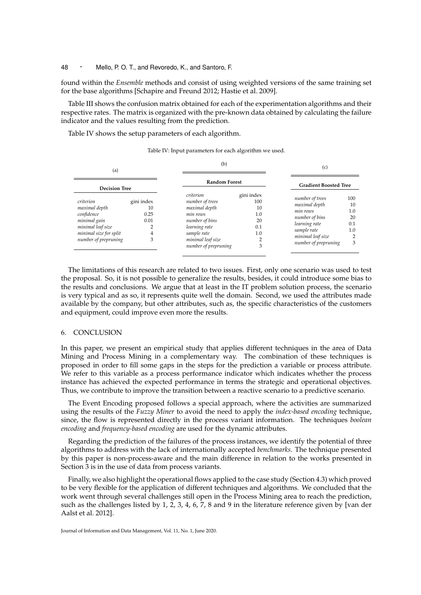found within the *Ensemble* methods and consist of using weighted versions of the same training set for the base algorithms [Schapire and Freund 2012; Hastie et al. 2009].

Table III shows the confusion matrix obtained for each of the experimentation algorithms and their respective rates. The matrix is organized with the pre-known data obtained by calculating the failure indicator and the values resulting from the prediction.

Table IV shows the setup parameters of each algorithm.

| (a)<br><b>Decision Tree</b>                                                                                                     |                                            | (b)                                                                                                                                                      |                                                    | (c)                                                                                                                                         |                                                             |  |
|---------------------------------------------------------------------------------------------------------------------------------|--------------------------------------------|----------------------------------------------------------------------------------------------------------------------------------------------------------|----------------------------------------------------|---------------------------------------------------------------------------------------------------------------------------------------------|-------------------------------------------------------------|--|
|                                                                                                                                 |                                            | <b>Random Forest</b>                                                                                                                                     |                                                    | <b>Gradient Boosted Tree</b>                                                                                                                |                                                             |  |
| criterion<br>maximal depth<br>confidence<br>minimal gain<br>minimal leaf size<br>minimal size for split<br>number of prepruning | gini index<br>10<br>0.25<br>0.01<br>4<br>3 | criterion<br>number of trees<br>maximal depth<br>min rows<br>number of bins<br>learning rate<br>sample rate<br>minimal leaf size<br>number of prepruning | gini index<br>100<br>10<br>1.0<br>20<br>0.1<br>1.0 | number of trees<br>maximal depth<br>min rows<br>number of bins<br>learning rate<br>sample rate<br>minimal leaf size<br>number of prepruning | 100<br>10<br>1.0<br>20<br>0.1<br>1.0<br>$\overline{2}$<br>3 |  |

Table IV: Input parameters for each algorithm we used.

The limitations of this research are related to two issues. First, only one scenario was used to test the proposal. So, it is not possible to generalize the results, besides, it could introduce some bias to the results and conclusions. We argue that at least in the IT problem solution process, the scenario is very typical and as so, it represents quite well the domain. Second, we used the attributes made available by the company, but other attributes, such as, the specific characteristics of the customers and equipment, could improve even more the results.

#### 6. CONCLUSION

In this paper, we present an empirical study that applies different techniques in the area of Data Mining and Process Mining in a complementary way. The combination of these techniques is proposed in order to fill some gaps in the steps for the prediction a variable or process attribute. We refer to this variable as a process performance indicator which indicates whether the process instance has achieved the expected performance in terms the strategic and operational objectives. Thus, we contribute to improve the transition between a reactive scenario to a predictive scenario.

The Event Encoding proposed follows a special approach, where the activities are summarized using the results of the *Fuzzy Miner* to avoid the need to apply the *index-based encoding* technique, since, the flow is represented directly in the process variant information. The techniques *boolean encoding* and *frequency-based encoding* are used for the dynamic attributes.

Regarding the prediction of the failures of the process instances, we identify the potential of three algorithms to address with the lack of internationally accepted *benchmarks*. The technique presented by this paper is non-process-aware and the main difference in relation to the works presented in Section 3 is in the use of data from process variants.

Finally, we also highlight the operational flows applied to the case study (Section 4.3) which proved to be very flexible for the application of different techniques and algorithms. We concluded that the work went through several challenges still open in the Process Mining area to reach the prediction, such as the challenges listed by 1, 2, 3, 4, 6, 7, 8 and 9 in the literature reference given by [van der Aalst et al. 2012].